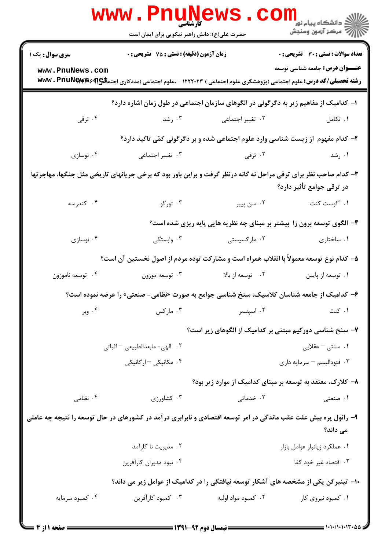|                                                                                                                                               | <b>WWW.PNUNEWS</b><br><b>کارشناسی</b><br>حضرت علی(ع): دانش راهبر نیکویی برای ایمان است |                               | ر دانشگاه پيام نور ■<br>دانشگاه پيام نور <mark>**</mark><br> ∭* مرکز آزمون وسنجش |  |
|-----------------------------------------------------------------------------------------------------------------------------------------------|----------------------------------------------------------------------------------------|-------------------------------|----------------------------------------------------------------------------------|--|
| <b>سری سوال:</b> یک ۱                                                                                                                         | زمان آزمون (دقیقه) : تستی : 75 ٪ تشریحی : 0                                            |                               | تعداد سوالات : تستي : 30 - تشريحي : 0                                            |  |
| www.PnuNews.com                                                                                                                               |                                                                                        |                               | <b>عنـــوان درس:</b> جامعه شناسی توسعه                                           |  |
|                                                                                                                                               | ا– کدامیک از مفاهیم زیر به دگرگونی در الگوهای سازمان اجتماعی در طول زمان اشاره دارد؟   |                               |                                                                                  |  |
| ۰۴ ترقی                                                                                                                                       |                                                                                        | ۰۲ تغییر اجتماعی مسلمت ۲۰ رشد | ۰۱ تکامل                                                                         |  |
|                                                                                                                                               |                                                                                        |                               | ۲- کدام مفهوم از زیست شناسی وارد علوم اجتماعی شده و بر دگرگونی کمّی تاکید دارد؟  |  |
| ۰۴ نوسازی                                                                                                                                     | ۰۳ تغییر اجتما <i>عی</i>                                                               | ۰۲ ترقی                       | ۰۱ رشد                                                                           |  |
| ۳- کدام صاحب نظر برای ترقی مراحل نه گانه درنظر گرفت و براین باور بود که برخی جریانهای تاریخی مثل جنگها، مهاجرتها<br>در ترقی جوامع تأثیر دارد؟ |                                                                                        |                               |                                                                                  |  |
| ۰۴ كندرسه                                                                                                                                     | ۰۳ تورگو                                                                               | ۰۲ سن پيير                    | ۰۱ آگوست کنت                                                                     |  |
|                                                                                                                                               |                                                                                        |                               | ۴- الگوی توسعه برون زا بیشتر بر مبنای چه نظریه هایی پایه ریزی شده است؟           |  |
| ۰۴ نوسازی                                                                                                                                     |                                                                                        | ۰۲ مارکسیستی سه ۲۰ وابستگی    | ۰۱ ساختاری                                                                       |  |
| ۵– کدام نوع توسعه معمولاً با انقلاب همراه است و مشارکت توده مردم از اصول نخستین آن است؟                                                       |                                                                                        |                               |                                                                                  |  |
| ۰۴ توسعه ناموزون                                                                                                                              | ۰۳ توسعه موزون                                                                         | ۰۲ توسعه از بالا              | ۰۱ توسعه از پايين                                                                |  |
| ۶– کدامیک از جامعه شناسان کلاسیک، سنخ شناسی جوامع به صورت «نظامی- صنعتی» را عرضه نموده است؟                                                   |                                                                                        |                               |                                                                                  |  |
| ۰۴ وبر                                                                                                                                        | ۰۳ مارکس                                                                               | ۰۲ اسپنسر                     | ۰۱ کنت                                                                           |  |
|                                                                                                                                               |                                                                                        |                               | ۷– سنخ شناسی دورکیم مبتنی بر کدامیک از الگوهای زیر است؟                          |  |
|                                                                                                                                               | ٠٢ الهي- مابعدالطبيعي - اثباتي                                                         |                               | ۰۱ سنتی – عقلایی                                                                 |  |
|                                                                                                                                               | ۰۴ مکانیکی –ارگانیکی                                                                   |                               | ۰۳ فئوداليسم - سرمايه دارى                                                       |  |
|                                                                                                                                               |                                                                                        |                               | ۸– کلارک، معتقد به توسعه بر مبنای کدامیک از موارد زیر بود؟                       |  |
| ۰۴ نظامی                                                                                                                                      | ۰۳ کشاورزی                                                                             | ۰۲ خدماتی                     | ۰۱ صنعتی                                                                         |  |
| ۹– رائول پره بیش علت عقب ماندگی در امر توسعه اقتصادی و نابرابری در آمد در کشورهای در حال توسعه را نتیجه چه عاملی<br>می داند؟                  |                                                                                        |                               |                                                                                  |  |
|                                                                                                                                               | ۰۲ مدیریت نا کارآمد                                                                    |                               | ٠١ عملكرد زيانبار عوامل بازار                                                    |  |
|                                                                                                                                               | ۰۴ نبود مديران كارآفرين                                                                |                               | ۰۳ اقتصاد غیر خود کفا                                                            |  |
|                                                                                                                                               | ∙ا− تینبرگن یکی از مشخصه های آشکار توسعه نیافتگی را در کدامیک از عوامل زیر می داند؟    |                               |                                                                                  |  |
| ۰۴ کمبود سرمایه                                                                                                                               | ۰۳ كمبود كارآفرين                                                                      | ۰۲ کمبود مواد اولیه           | ۰۱ کمبود نیروی کار                                                               |  |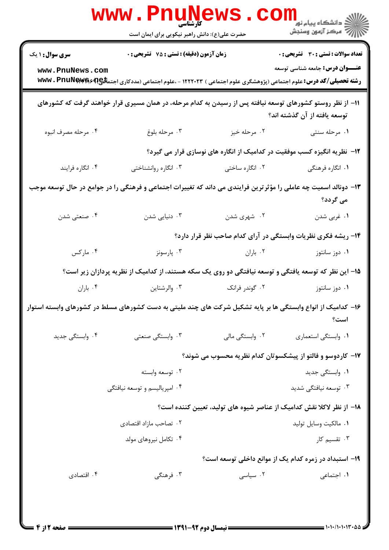|                                                                                                                              | <b>www.Pnuge</b><br>حضرت علی(ع): دانش راهبر نیکویی برای ایمان است |                 | الاد دانشگاه پیام نور<br>الاس مرکز آزمون وسنجش                                                                                                                              |  |
|------------------------------------------------------------------------------------------------------------------------------|-------------------------------------------------------------------|-----------------|-----------------------------------------------------------------------------------------------------------------------------------------------------------------------------|--|
| <b>سری سوال : ۱ یک</b>                                                                                                       | زمان آزمون (دقیقه) : تستی : 75 گشریحی : 0                         |                 | <b>تعداد سوالات : تستی : 30 ٪ تشریحی : 0</b>                                                                                                                                |  |
| www.PnuNews.com                                                                                                              |                                                                   |                 | <b>عنـــوان درس:</b> جامعه شناسی توسعه<br><b>رشته تحصیلی/کد درس:</b> علوم اجتماعی (پژوهشگری علوم اجتماعی ) ۱۲۲۲۰۲۳ - ،علوم اجتماعی (مددکاری اجتم <b>لگع)؟ WWW . PnuNewe</b> |  |
|                                                                                                                              |                                                                   |                 | 1۱– از نظر روستو کشورهای توسعه نیافته پس از رسیدن به کدام مرحله، در همان مسیری قرار خواهند گرفت که کشورهای<br>توسعه یافته از آن گذشته اند؟                                  |  |
| ۰۴ مرحله مصرف انبوه                                                                                                          | ۰۳ مرحله بلوغ                                                     | ۰۲ مرحله خيز    | ۰۱ مرحله سنتی                                                                                                                                                               |  |
|                                                                                                                              |                                                                   |                 | ۱۲– نظریه انگیزه کسب موفقیت در کدامیک از انگاره های نوسازی قرار می گیرد؟                                                                                                    |  |
| ۰۴ انگاره فرايند                                                                                                             | ۰۳ انگاره روانشناختی                                              | ۰۲ انگاره ساختی | ۰۱ انگاره فرهنگی                                                                                                                                                            |  |
| ۱۳- دونالد اسمیت چه عاملی را مؤثر ترین فرایندی می داند که تغییرات اجتماعی و فرهنگی را در جوامع در حال توسعه موجب<br>می گردد؟ |                                                                   |                 |                                                                                                                                                                             |  |
| ۰۴ صنعتی شدن                                                                                                                 | دنیایی شدن $\cdot$ ۳                                              | ۰۲ شهری شدن     | ۰۱ غربي شدن                                                                                                                                                                 |  |
|                                                                                                                              |                                                                   |                 | ۱۴- ریشه فکری نظریات وابستگی در آرای کدام صاحب نظر قرار دارد؟                                                                                                               |  |
| ۰۴ مارکس                                                                                                                     | ۰۳ پارسونز                                                        | ۰۲ باران        | ۰۱ دوز سانتوز                                                                                                                                                               |  |
|                                                                                                                              |                                                                   |                 | ۱۵– این نظر که توسعه یافتگی و توسعه نیافتگی دو روی یک سکه هستند، از کدامیک از نظریه پردازان زیر است؟                                                                        |  |
| ۰۴ باران                                                                                                                     | ۰۳ والرشتاين                                                      | ۰۲ گوندر فرانک  | ۰۱ دوز سانتوز                                                                                                                                                               |  |
|                                                                                                                              |                                                                   |                 | ۱۶– کدامیک از انواع وابستگی ها بر پایه تشکیل شرکت های چند ملیتی به دست کشورهای مسلط در کشورهای وابسته استوار<br>است؟                                                        |  |
| ۰۴ وابستگی جدید                                                                                                              | ۰۳ وابستگی صنعتی                                                  | ۰۲ وابستگی مالی | ۰۱ وابستگی استعماری                                                                                                                                                         |  |
|                                                                                                                              |                                                                   |                 | <b>۱۷</b> - کاردوسو و فالتو از پیشکسوتان کدام نظریه محسوب می شوند؟                                                                                                          |  |
|                                                                                                                              | ۰۲ توسعه وابسته                                                   |                 | ۰۱ وابستگی جدید                                                                                                                                                             |  |
|                                                                                                                              | ۰۴ امپریالیسم و توسعه نیافتگی                                     |                 | ۰۳ توسعه نیافتگی شدید                                                                                                                                                       |  |
|                                                                                                                              |                                                                   |                 | ۱۸– از نظر لاکلا نقش کدامیک از عناصر شیوه های تولید، تعیین کننده است؟                                                                                                       |  |
|                                                                                                                              | ۰۲ تصاحب مازاد اقتصادی                                            |                 | ٠١. مالكيت وسايل توليد                                                                                                                                                      |  |
|                                                                                                                              | ۰۴ تکامل نیروهای مولد                                             |                 | ۰۳ تقسیم کار                                                                                                                                                                |  |
|                                                                                                                              |                                                                   |                 | ۱۹- استبداد در زمره کدام یک از موانع داخلی توسعه است؟                                                                                                                       |  |
| ۰۴ اقتصادی                                                                                                                   | ۰۳ فرهنگی                                                         | ۰۲ سیاسی        | ٠١. اجتماعي                                                                                                                                                                 |  |
|                                                                                                                              |                                                                   |                 |                                                                                                                                                                             |  |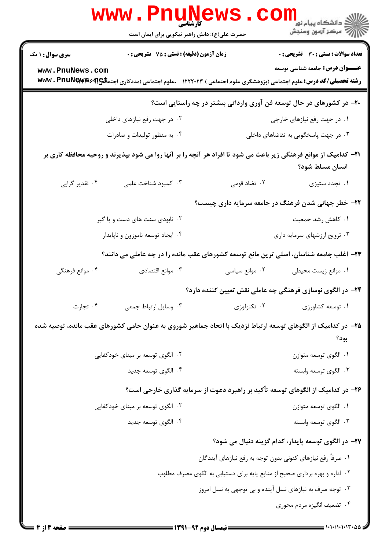|                        | www.PnuNews                                                                                                                       |                | دانشگاه پيام نور <mark>∟ .</mark><br>ا <mark>∛</mark> مرکز آزمون وسنجش     |
|------------------------|-----------------------------------------------------------------------------------------------------------------------------------|----------------|----------------------------------------------------------------------------|
|                        | حضرت علی(ع): دانش راهبر نیکویی برای ایمان است                                                                                     |                |                                                                            |
| <b>سری سوال : ۱ یک</b> | زمان آزمون (دقیقه) : تستی : 75 گشریحی : 0                                                                                         |                | <b>تعداد سوالات : تستی : 30 - تشریحی : 0</b>                               |
| www.PnuNews.com        | <b>رشته تحصیلی/کد درس:</b> علوم اجتماعی (پژوهشگری علوم اجتماعی ) ۱۲۲۲۰۲۳ - ،علوم اجتماعی (مددکاری اجتم <b>لگع)؟ www . PnuNewe</b> |                | <b>عنـــوان درس:</b> جامعه شناسی توسعه                                     |
|                        |                                                                                                                                   |                | +۲- در کشورهای در حال توسعه فن آوری وارداتی بیشتر در چه راستایی است؟       |
|                        | ۰۲ در جهت رفع نیازهای داخلی                                                                                                       |                | ۰۱ در جهت رفع نیازهای خارجی                                                |
|                        | ۰۴ به منظور تولیدات و صادرات                                                                                                      |                | ۰۳ در جهت پاسخگویی به تقاضاهای داخلی                                       |
|                        | <b>۳۱</b> – کدامیک از موانع فرهنگی زیر باعث می شود تا افراد هر آنچه را بر آنها روا می شود بپذیرند و روحیه محافظه کاری بر          |                | انسان مسلط شود؟                                                            |
| ۰۴ تقدیر گرایی         | ۰۳ کمبود شناخت علمی                                                                                                               | ۰۲ تضاد قومی   | ۰۱ تجدد ستیزی                                                              |
|                        |                                                                                                                                   |                | ۲۲- خطر جهانی شدن فرهنگ در جامعه سرمایه داری چیست؟                         |
|                        | ۰۲ نابودی سنت های دست و پا گیر                                                                                                    |                | ۰۱ كاهش رشد جمعيت                                                          |
|                        | ۰۴ ایجاد توسعه ناموزون و ناپایدار                                                                                                 |                | ۰۳ ترویج ارزشهای سرمایه داری                                               |
|                        | ۲۳– اغلب جامعه شناسان، اصلی ترین مانع توسعه کشورهای عقب مانده را در چه عاملی می دانند؟                                            |                |                                                                            |
| ۰۴ موانع فرهنگی        | ۰۳ موانع اقتصادی                                                                                                                  | ۰۲ موانع سیاسی | ٠١ موانع زيست محيطي                                                        |
|                        |                                                                                                                                   |                | ۲۴– در الگوی نوسازی فرهنگی چه عاملی نقش تعیین کننده دارد؟                  |
| ۰۴ تجارت               | ۰۳ وسایل ارتباط جمعی                                                                                                              | ۰۲ تکنولوژی    | ۰۱ توسعه کشاورزی                                                           |
|                        | ۲۵– در کدامیک از الگوهای توسعه ارتباط نزدیک با اتحاد جماهیر شوروی به عنوان حامی کشورهای عقب مانده، توصیه شده                      |                | بود؟                                                                       |
|                        | ۰۲ الگوی توسعه بر مبنای خودکفایی                                                                                                  |                | ۰۱ الگوی توسعه متوازن                                                      |
|                        | ۰۴ الگوی توسعه جدید                                                                                                               |                | ۰۳ الگوی توسعه وابسته                                                      |
|                        | ۲۶- در کدامیک از الگوهای توسعه تأکید بر راهبرد دعوت از سرمایه گذاری خارجی است؟                                                    |                |                                                                            |
|                        | ۰۲ الگوی توسعه بر مبنای خودکفایی                                                                                                  |                | ۰۱ الگوی توسعه متوازن                                                      |
|                        | ۰۴ الگوی توسعه جدید                                                                                                               |                | ۰۳ الگوی توسعه وابسته                                                      |
|                        |                                                                                                                                   |                | ۲۷– در الگوی توسعه پایدار، کدام گزینه دنبال می شود؟                        |
|                        |                                                                                                                                   |                | ۰۱ صرفاً رفع نیازهای کنونی بدون توجه به رفع نیازهای آیندگان                |
|                        |                                                                                                                                   |                | ۰۲ اداره و بهره برداری صحیح از منابع پایه برای دستیابی به الگوی مصرف مطلوب |
|                        |                                                                                                                                   |                | ۰۳ توجه صرف به نیازهای نسل آینده و بی توجهی به نسل امروز                   |
|                        |                                                                                                                                   |                | ۰۴ تضعیف انگیزه مردم محوری                                                 |